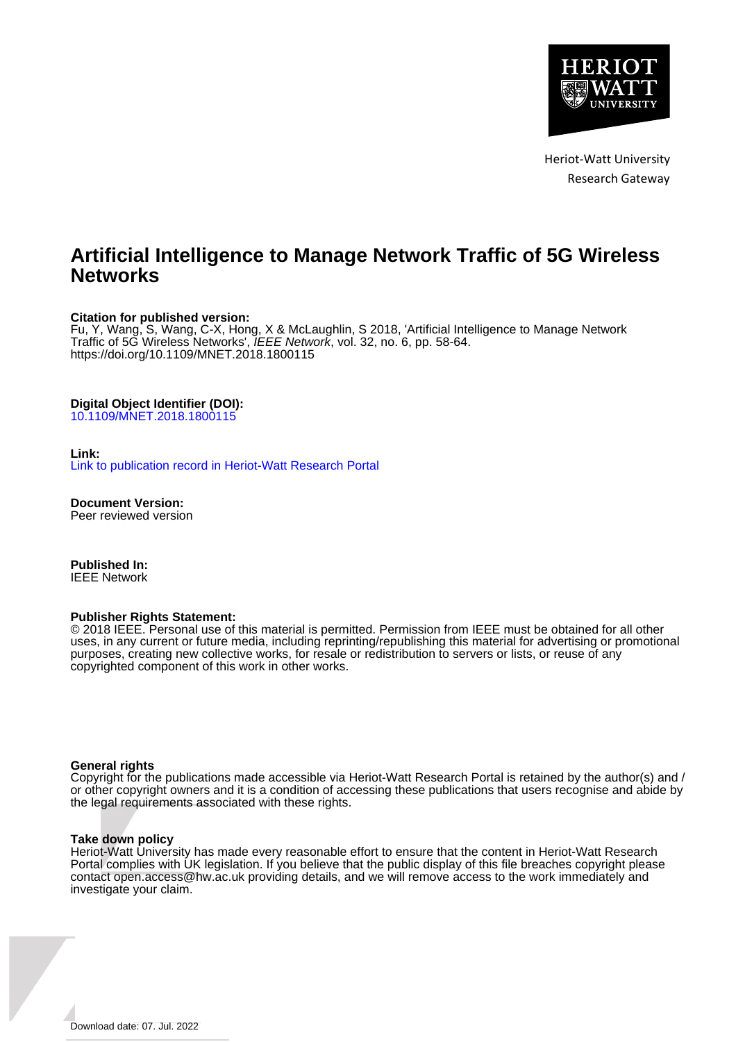

Heriot-Watt University Research Gateway

# **Artificial Intelligence to Manage Network Traffic of 5G Wireless Networks**

## **Citation for published version:**

Fu, Y, Wang, S, Wang, C-X, Hong, X & McLaughlin, S 2018, 'Artificial Intelligence to Manage Network Traffic of 5G Wireless Networks', *IEEE Network*, vol. 32, no. 6, pp. 58-64. <https://doi.org/10.1109/MNET.2018.1800115>

#### **Digital Object Identifier (DOI):**

[10.1109/MNET.2018.1800115](https://doi.org/10.1109/MNET.2018.1800115)

#### **Link:**

[Link to publication record in Heriot-Watt Research Portal](https://researchportal.hw.ac.uk/en/publications/7659aa3c-ab1e-4b5d-8c86-5ad5d519ddfe)

**Document Version:** Peer reviewed version

**Published In:** IEEE Network

#### **Publisher Rights Statement:**

© 2018 IEEE. Personal use of this material is permitted. Permission from IEEE must be obtained for all other uses, in any current or future media, including reprinting/republishing this material for advertising or promotional purposes, creating new collective works, for resale or redistribution to servers or lists, or reuse of any copyrighted component of this work in other works.

#### **General rights**

Copyright for the publications made accessible via Heriot-Watt Research Portal is retained by the author(s) and / or other copyright owners and it is a condition of accessing these publications that users recognise and abide by the legal requirements associated with these rights.

#### **Take down policy**

Heriot-Watt University has made every reasonable effort to ensure that the content in Heriot-Watt Research Portal complies with UK legislation. If you believe that the public display of this file breaches copyright please contact open.access@hw.ac.uk providing details, and we will remove access to the work immediately and investigate your claim.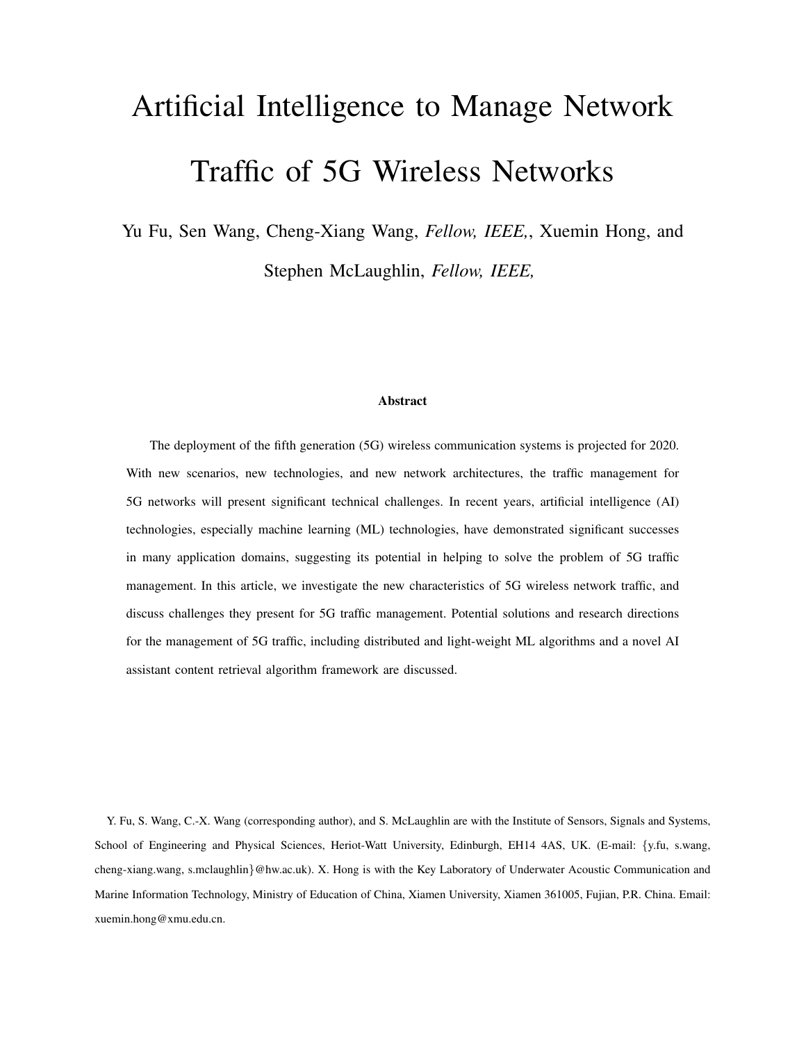# Artificial Intelligence to Manage Network Traffic of 5G Wireless Networks

Yu Fu, Sen Wang, Cheng-Xiang Wang, *Fellow, IEEE,*, Xuemin Hong, and Stephen McLaughlin, *Fellow, IEEE,*

#### Abstract

The deployment of the fifth generation (5G) wireless communication systems is projected for 2020. With new scenarios, new technologies, and new network architectures, the traffic management for 5G networks will present significant technical challenges. In recent years, artificial intelligence (AI) technologies, especially machine learning (ML) technologies, have demonstrated significant successes in many application domains, suggesting its potential in helping to solve the problem of 5G traffic management. In this article, we investigate the new characteristics of 5G wireless network traffic, and discuss challenges they present for 5G traffic management. Potential solutions and research directions for the management of 5G traffic, including distributed and light-weight ML algorithms and a novel AI assistant content retrieval algorithm framework are discussed.

Y. Fu, S. Wang, C.-X. Wang (corresponding author), and S. McLaughlin are with the Institute of Sensors, Signals and Systems, School of Engineering and Physical Sciences, Heriot-Watt University, Edinburgh, EH14 4AS, UK. (E-mail: {y.fu, s.wang, cheng-xiang.wang, s.mclaughlin}@hw.ac.uk). X. Hong is with the Key Laboratory of Underwater Acoustic Communication and Marine Information Technology, Ministry of Education of China, Xiamen University, Xiamen 361005, Fujian, P.R. China. Email: xuemin.hong@xmu.edu.cn.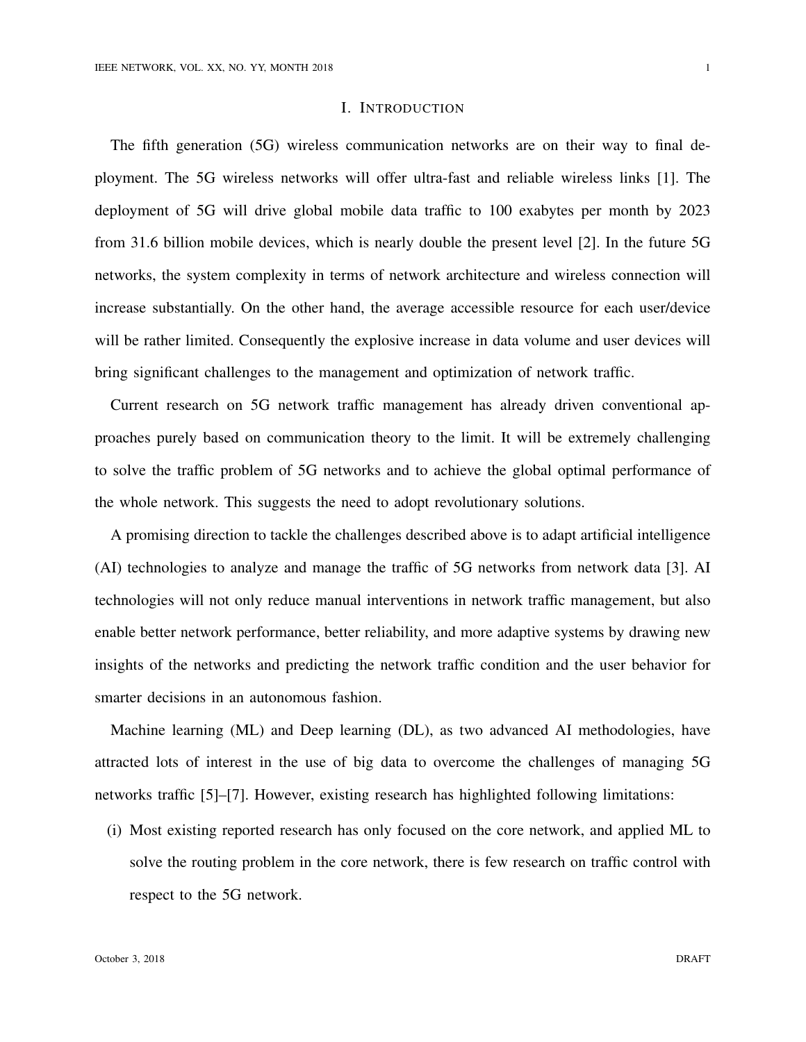#### I. INTRODUCTION

The fifth generation (5G) wireless communication networks are on their way to final deployment. The 5G wireless networks will offer ultra-fast and reliable wireless links [1]. The deployment of 5G will drive global mobile data traffic to 100 exabytes per month by 2023 from 31.6 billion mobile devices, which is nearly double the present level [2]. In the future 5G networks, the system complexity in terms of network architecture and wireless connection will increase substantially. On the other hand, the average accessible resource for each user/device will be rather limited. Consequently the explosive increase in data volume and user devices will bring significant challenges to the management and optimization of network traffic.

Current research on 5G network traffic management has already driven conventional approaches purely based on communication theory to the limit. It will be extremely challenging to solve the traffic problem of 5G networks and to achieve the global optimal performance of the whole network. This suggests the need to adopt revolutionary solutions.

A promising direction to tackle the challenges described above is to adapt artificial intelligence (AI) technologies to analyze and manage the traffic of 5G networks from network data [3]. AI technologies will not only reduce manual interventions in network traffic management, but also enable better network performance, better reliability, and more adaptive systems by drawing new insights of the networks and predicting the network traffic condition and the user behavior for smarter decisions in an autonomous fashion.

Machine learning (ML) and Deep learning (DL), as two advanced AI methodologies, have attracted lots of interest in the use of big data to overcome the challenges of managing 5G networks traffic [5]–[7]. However, existing research has highlighted following limitations:

(i) Most existing reported research has only focused on the core network, and applied ML to solve the routing problem in the core network, there is few research on traffic control with respect to the 5G network.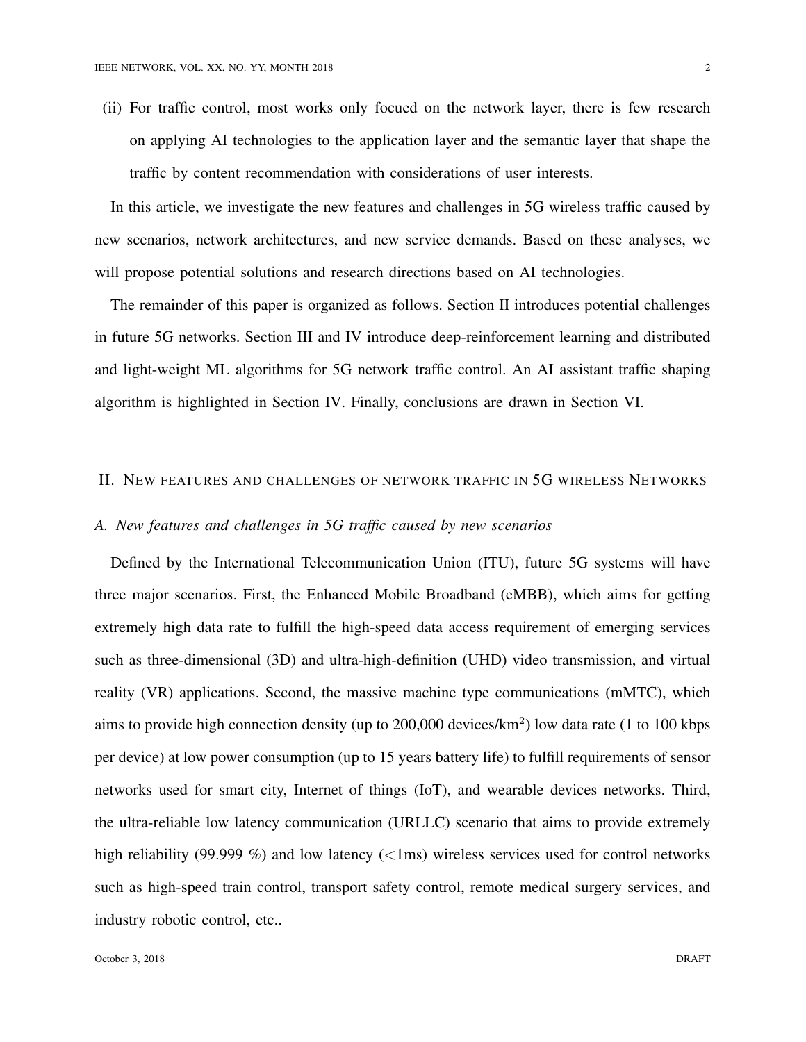(ii) For traffic control, most works only focued on the network layer, there is few research on applying AI technologies to the application layer and the semantic layer that shape the traffic by content recommendation with considerations of user interests.

In this article, we investigate the new features and challenges in 5G wireless traffic caused by new scenarios, network architectures, and new service demands. Based on these analyses, we will propose potential solutions and research directions based on AI technologies.

The remainder of this paper is organized as follows. Section II introduces potential challenges in future 5G networks. Section III and IV introduce deep-reinforcement learning and distributed and light-weight ML algorithms for 5G network traffic control. An AI assistant traffic shaping algorithm is highlighted in Section IV. Finally, conclusions are drawn in Section VI.

## II. NEW FEATURES AND CHALLENGES OF NETWORK TRAFFIC IN 5G WIRELESS NETWORKS

#### *A. New features and challenges in 5G traffic caused by new scenarios*

Defined by the International Telecommunication Union (ITU), future 5G systems will have three major scenarios. First, the Enhanced Mobile Broadband (eMBB), which aims for getting extremely high data rate to fulfill the high-speed data access requirement of emerging services such as three-dimensional (3D) and ultra-high-definition (UHD) video transmission, and virtual reality (VR) applications. Second, the massive machine type communications (mMTC), which aims to provide high connection density (up to 200,000 devices/ $km^2$ ) low data rate (1 to 100 kbps per device) at low power consumption (up to 15 years battery life) to fulfill requirements of sensor networks used for smart city, Internet of things (IoT), and wearable devices networks. Third, the ultra-reliable low latency communication (URLLC) scenario that aims to provide extremely high reliability (99.999 %) and low latency ( $\langle$ 1ms) wireless services used for control networks such as high-speed train control, transport safety control, remote medical surgery services, and industry robotic control, etc..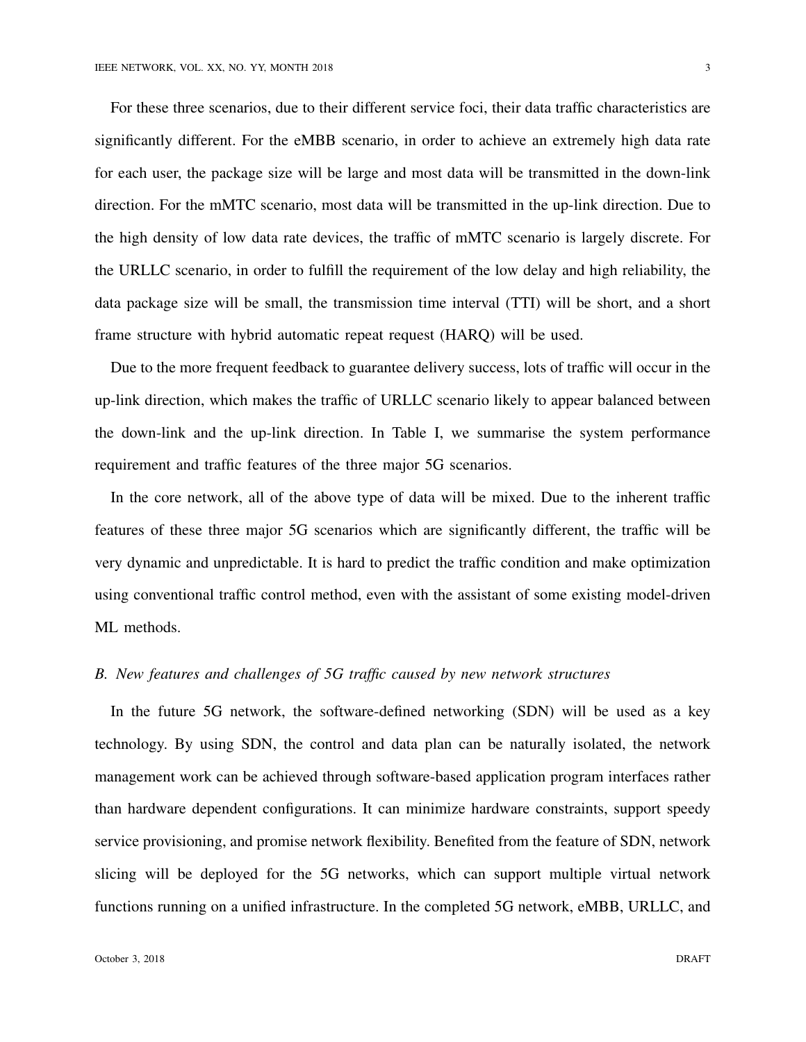For these three scenarios, due to their different service foci, their data traffic characteristics are significantly different. For the eMBB scenario, in order to achieve an extremely high data rate for each user, the package size will be large and most data will be transmitted in the down-link direction. For the mMTC scenario, most data will be transmitted in the up-link direction. Due to the high density of low data rate devices, the traffic of mMTC scenario is largely discrete. For the URLLC scenario, in order to fulfill the requirement of the low delay and high reliability, the data package size will be small, the transmission time interval (TTI) will be short, and a short frame structure with hybrid automatic repeat request (HARQ) will be used.

Due to the more frequent feedback to guarantee delivery success, lots of traffic will occur in the up-link direction, which makes the traffic of URLLC scenario likely to appear balanced between the down-link and the up-link direction. In Table I, we summarise the system performance requirement and traffic features of the three major 5G scenarios.

In the core network, all of the above type of data will be mixed. Due to the inherent traffic features of these three major 5G scenarios which are significantly different, the traffic will be very dynamic and unpredictable. It is hard to predict the traffic condition and make optimization using conventional traffic control method, even with the assistant of some existing model-driven ML methods.

## *B. New features and challenges of 5G traffic caused by new network structures*

In the future 5G network, the software-defined networking (SDN) will be used as a key technology. By using SDN, the control and data plan can be naturally isolated, the network management work can be achieved through software-based application program interfaces rather than hardware dependent configurations. It can minimize hardware constraints, support speedy service provisioning, and promise network flexibility. Benefited from the feature of SDN, network slicing will be deployed for the 5G networks, which can support multiple virtual network functions running on a unified infrastructure. In the completed 5G network, eMBB, URLLC, and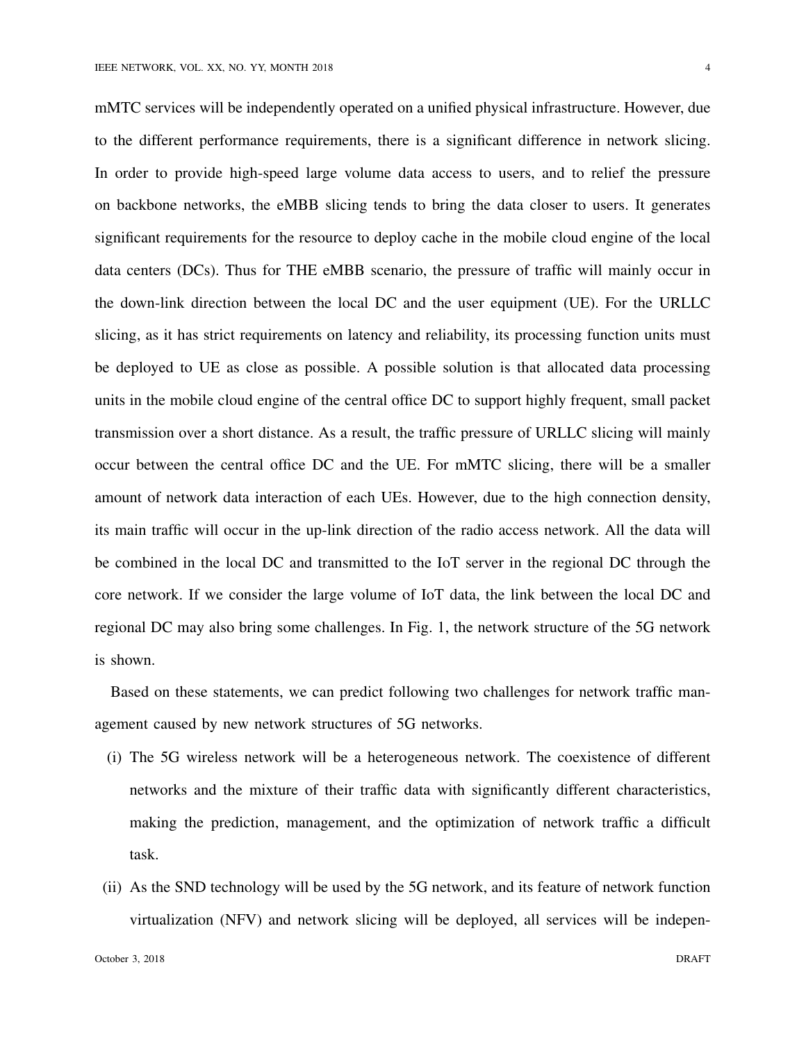mMTC services will be independently operated on a unified physical infrastructure. However, due to the different performance requirements, there is a significant difference in network slicing. In order to provide high-speed large volume data access to users, and to relief the pressure on backbone networks, the eMBB slicing tends to bring the data closer to users. It generates significant requirements for the resource to deploy cache in the mobile cloud engine of the local data centers (DCs). Thus for THE eMBB scenario, the pressure of traffic will mainly occur in the down-link direction between the local DC and the user equipment (UE). For the URLLC slicing, as it has strict requirements on latency and reliability, its processing function units must be deployed to UE as close as possible. A possible solution is that allocated data processing units in the mobile cloud engine of the central office DC to support highly frequent, small packet transmission over a short distance. As a result, the traffic pressure of URLLC slicing will mainly occur between the central office DC and the UE. For mMTC slicing, there will be a smaller amount of network data interaction of each UEs. However, due to the high connection density, its main traffic will occur in the up-link direction of the radio access network. All the data will be combined in the local DC and transmitted to the IoT server in the regional DC through the core network. If we consider the large volume of IoT data, the link between the local DC and regional DC may also bring some challenges. In Fig. 1, the network structure of the 5G network is shown.

Based on these statements, we can predict following two challenges for network traffic management caused by new network structures of 5G networks.

- (i) The 5G wireless network will be a heterogeneous network. The coexistence of different networks and the mixture of their traffic data with significantly different characteristics, making the prediction, management, and the optimization of network traffic a difficult task.
- (ii) As the SND technology will be used by the 5G network, and its feature of network function virtualization (NFV) and network slicing will be deployed, all services will be indepen-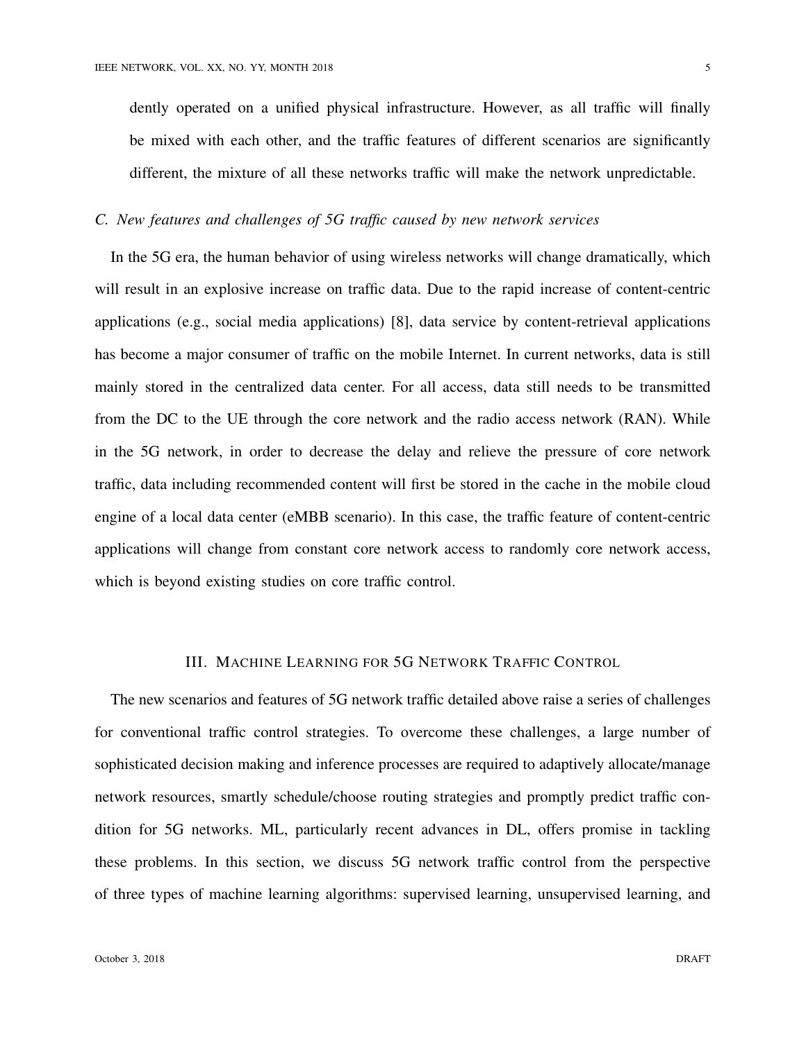dently operated on a unified physical infrastructure. However, as all traffic will finally be mixed with each other, and the traffic features of different scenarios are significantly different, the mixture of all these networks traffic will make the network unpredictable.

## *C. New features and challenges of 5G traffic caused by new network services*

In the 5G era, the human behavior of using wireless networks will change dramatically, which will result in an explosive increase on traffic data. Due to the rapid increase of content-centric applications (e.g., social media applications) [8], data service by content-retrieval applications has become a major consumer of traffic on the mobile Internet. In current networks, data is still mainly stored in the centralized data center. For all access, data still needs to be transmitted from the DC to the UE through the core network and the radio access network (RAN). While in the 5G network, in order to decrease the delay and relieve the pressure of core network traffic, data including recommended content will first be stored in the cache in the mobile cloud engine of a local data center (eMBB scenario). In this case, the traffic feature of content-centric applications will change from constant core network access to randomly core network access, which is beyond existing studies on core traffic control.

## III. MACHINE LEARNING FOR 5G NETWORK TRAFFIC CONTROL

The new scenarios and features of 5G network traffic detailed above raise a series of challenges for conventional traffic control strategies. To overcome these challenges, a large number of sophisticated decision making and inference processes are required to adaptively allocate/manage network resources, smartly schedule/choose routing strategies and promptly predict traffic condition for 5G networks. ML, particularly recent advances in DL, offers promise in tackling these problems. In this section, we discuss 5G network traffic control from the perspective of three types of machine learning algorithms: supervised learning, unsupervised learning, and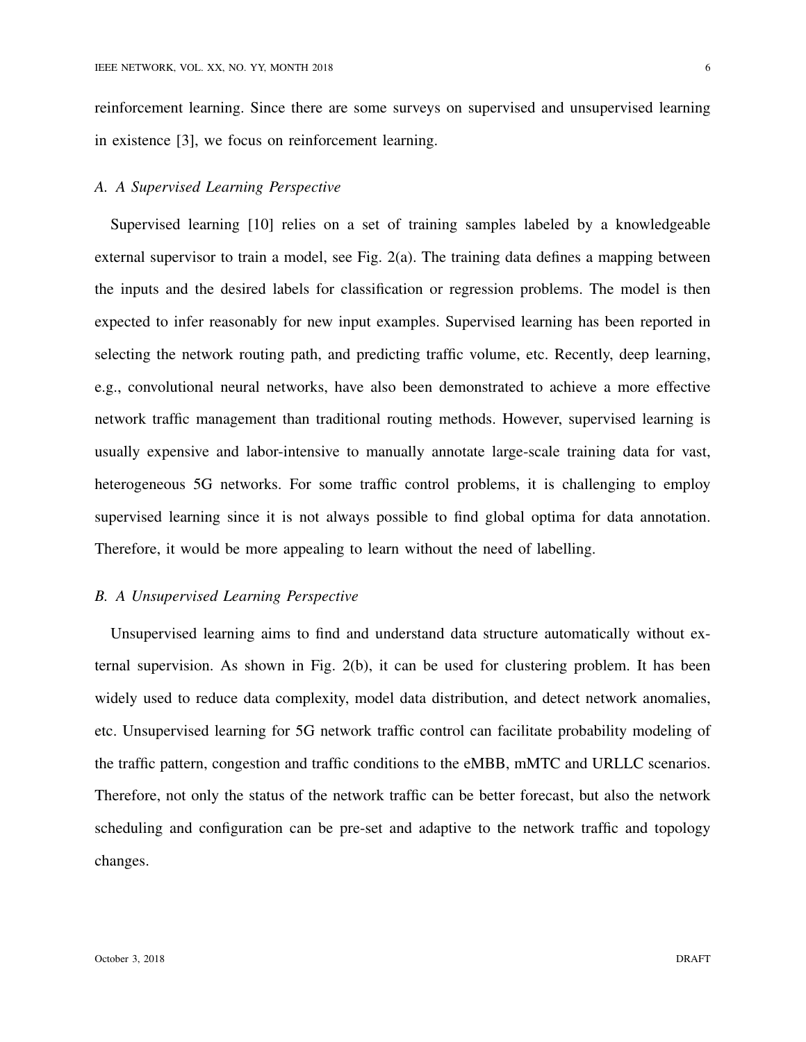reinforcement learning. Since there are some surveys on supervised and unsupervised learning in existence [3], we focus on reinforcement learning.

## *A. A Supervised Learning Perspective*

Supervised learning [10] relies on a set of training samples labeled by a knowledgeable external supervisor to train a model, see Fig. 2(a). The training data defines a mapping between the inputs and the desired labels for classification or regression problems. The model is then expected to infer reasonably for new input examples. Supervised learning has been reported in selecting the network routing path, and predicting traffic volume, etc. Recently, deep learning, e.g., convolutional neural networks, have also been demonstrated to achieve a more effective network traffic management than traditional routing methods. However, supervised learning is usually expensive and labor-intensive to manually annotate large-scale training data for vast, heterogeneous 5G networks. For some traffic control problems, it is challenging to employ supervised learning since it is not always possible to find global optima for data annotation. Therefore, it would be more appealing to learn without the need of labelling.

## *B. A Unsupervised Learning Perspective*

Unsupervised learning aims to find and understand data structure automatically without external supervision. As shown in Fig. 2(b), it can be used for clustering problem. It has been widely used to reduce data complexity, model data distribution, and detect network anomalies, etc. Unsupervised learning for 5G network traffic control can facilitate probability modeling of the traffic pattern, congestion and traffic conditions to the eMBB, mMTC and URLLC scenarios. Therefore, not only the status of the network traffic can be better forecast, but also the network scheduling and configuration can be pre-set and adaptive to the network traffic and topology changes.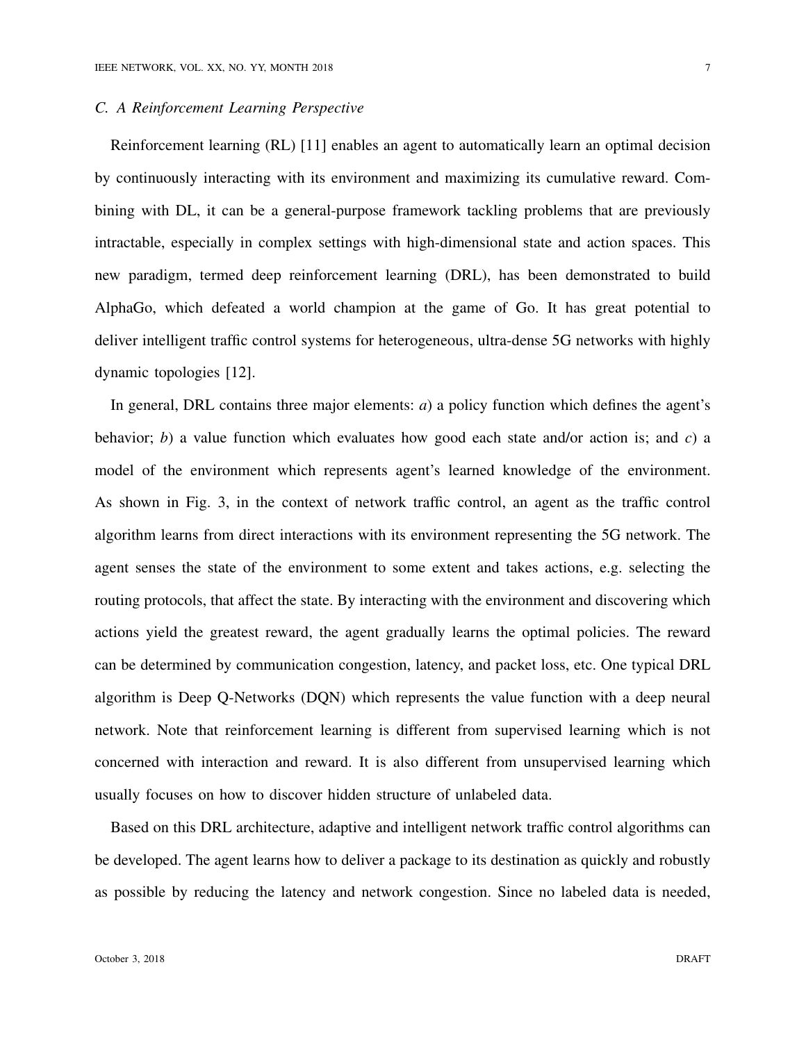## *C. A Reinforcement Learning Perspective*

Reinforcement learning (RL) [11] enables an agent to automatically learn an optimal decision by continuously interacting with its environment and maximizing its cumulative reward. Combining with DL, it can be a general-purpose framework tackling problems that are previously intractable, especially in complex settings with high-dimensional state and action spaces. This new paradigm, termed deep reinforcement learning (DRL), has been demonstrated to build AlphaGo, which defeated a world champion at the game of Go. It has great potential to deliver intelligent traffic control systems for heterogeneous, ultra-dense 5G networks with highly dynamic topologies [12].

In general, DRL contains three major elements: *a*) a policy function which defines the agent's behavior; *b*) a value function which evaluates how good each state and/or action is; and *c*) a model of the environment which represents agent's learned knowledge of the environment. As shown in Fig. 3, in the context of network traffic control, an agent as the traffic control algorithm learns from direct interactions with its environment representing the 5G network. The agent senses the state of the environment to some extent and takes actions, e.g. selecting the routing protocols, that affect the state. By interacting with the environment and discovering which actions yield the greatest reward, the agent gradually learns the optimal policies. The reward can be determined by communication congestion, latency, and packet loss, etc. One typical DRL algorithm is Deep Q-Networks (DQN) which represents the value function with a deep neural network. Note that reinforcement learning is different from supervised learning which is not concerned with interaction and reward. It is also different from unsupervised learning which usually focuses on how to discover hidden structure of unlabeled data.

Based on this DRL architecture, adaptive and intelligent network traffic control algorithms can be developed. The agent learns how to deliver a package to its destination as quickly and robustly as possible by reducing the latency and network congestion. Since no labeled data is needed,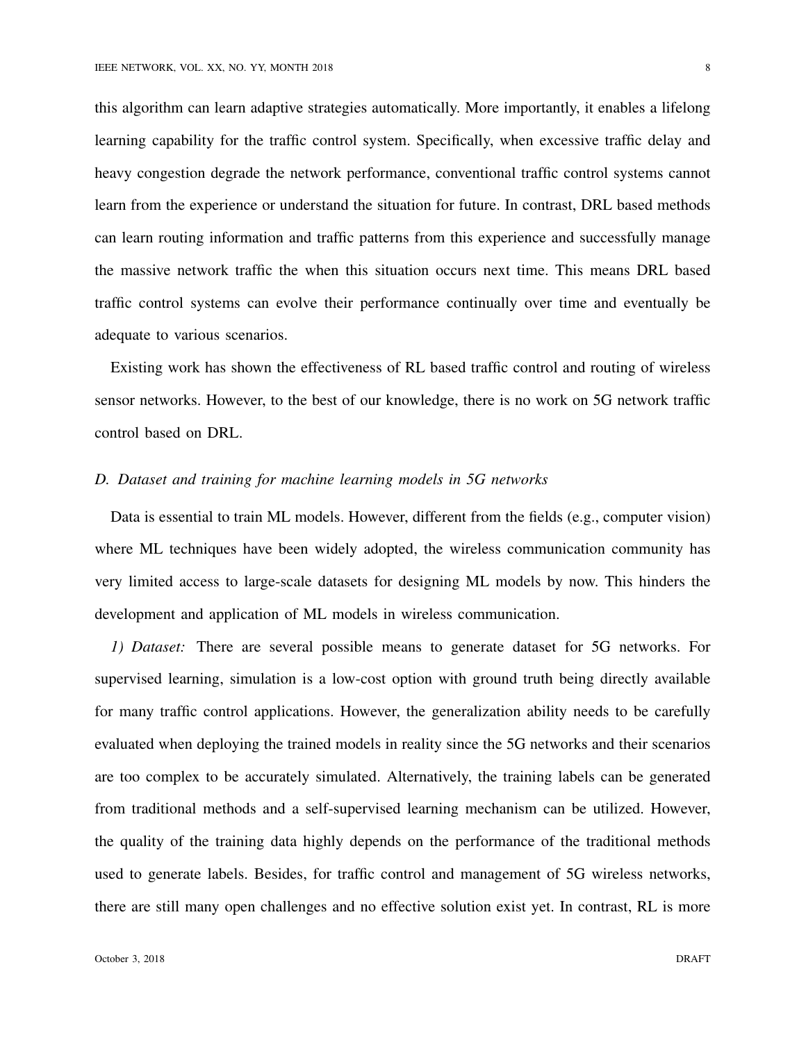this algorithm can learn adaptive strategies automatically. More importantly, it enables a lifelong learning capability for the traffic control system. Specifically, when excessive traffic delay and heavy congestion degrade the network performance, conventional traffic control systems cannot learn from the experience or understand the situation for future. In contrast, DRL based methods can learn routing information and traffic patterns from this experience and successfully manage the massive network traffic the when this situation occurs next time. This means DRL based traffic control systems can evolve their performance continually over time and eventually be adequate to various scenarios.

Existing work has shown the effectiveness of RL based traffic control and routing of wireless sensor networks. However, to the best of our knowledge, there is no work on 5G network traffic control based on DRL.

## *D. Dataset and training for machine learning models in 5G networks*

Data is essential to train ML models. However, different from the fields (e.g., computer vision) where ML techniques have been widely adopted, the wireless communication community has very limited access to large-scale datasets for designing ML models by now. This hinders the development and application of ML models in wireless communication.

*1) Dataset:* There are several possible means to generate dataset for 5G networks. For supervised learning, simulation is a low-cost option with ground truth being directly available for many traffic control applications. However, the generalization ability needs to be carefully evaluated when deploying the trained models in reality since the 5G networks and their scenarios are too complex to be accurately simulated. Alternatively, the training labels can be generated from traditional methods and a self-supervised learning mechanism can be utilized. However, the quality of the training data highly depends on the performance of the traditional methods used to generate labels. Besides, for traffic control and management of 5G wireless networks, there are still many open challenges and no effective solution exist yet. In contrast, RL is more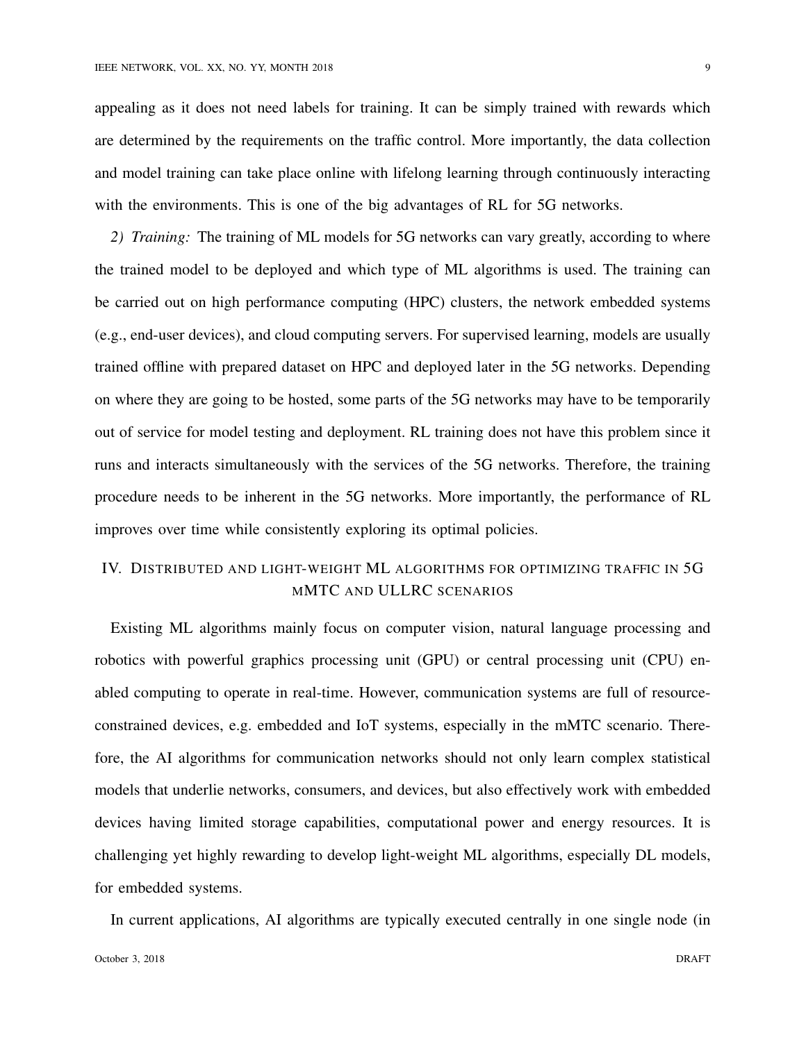appealing as it does not need labels for training. It can be simply trained with rewards which are determined by the requirements on the traffic control. More importantly, the data collection and model training can take place online with lifelong learning through continuously interacting with the environments. This is one of the big advantages of RL for 5G networks.

*2) Training:* The training of ML models for 5G networks can vary greatly, according to where the trained model to be deployed and which type of ML algorithms is used. The training can be carried out on high performance computing (HPC) clusters, the network embedded systems (e.g., end-user devices), and cloud computing servers. For supervised learning, models are usually trained offline with prepared dataset on HPC and deployed later in the 5G networks. Depending on where they are going to be hosted, some parts of the 5G networks may have to be temporarily out of service for model testing and deployment. RL training does not have this problem since it runs and interacts simultaneously with the services of the 5G networks. Therefore, the training procedure needs to be inherent in the 5G networks. More importantly, the performance of RL improves over time while consistently exploring its optimal policies.

## IV. DISTRIBUTED AND LIGHT-WEIGHT ML ALGORITHMS FOR OPTIMIZING TRAFFIC IN 5G MMTC AND ULLRC SCENARIOS

Existing ML algorithms mainly focus on computer vision, natural language processing and robotics with powerful graphics processing unit (GPU) or central processing unit (CPU) enabled computing to operate in real-time. However, communication systems are full of resourceconstrained devices, e.g. embedded and IoT systems, especially in the mMTC scenario. Therefore, the AI algorithms for communication networks should not only learn complex statistical models that underlie networks, consumers, and devices, but also effectively work with embedded devices having limited storage capabilities, computational power and energy resources. It is challenging yet highly rewarding to develop light-weight ML algorithms, especially DL models, for embedded systems.

In current applications, AI algorithms are typically executed centrally in one single node (in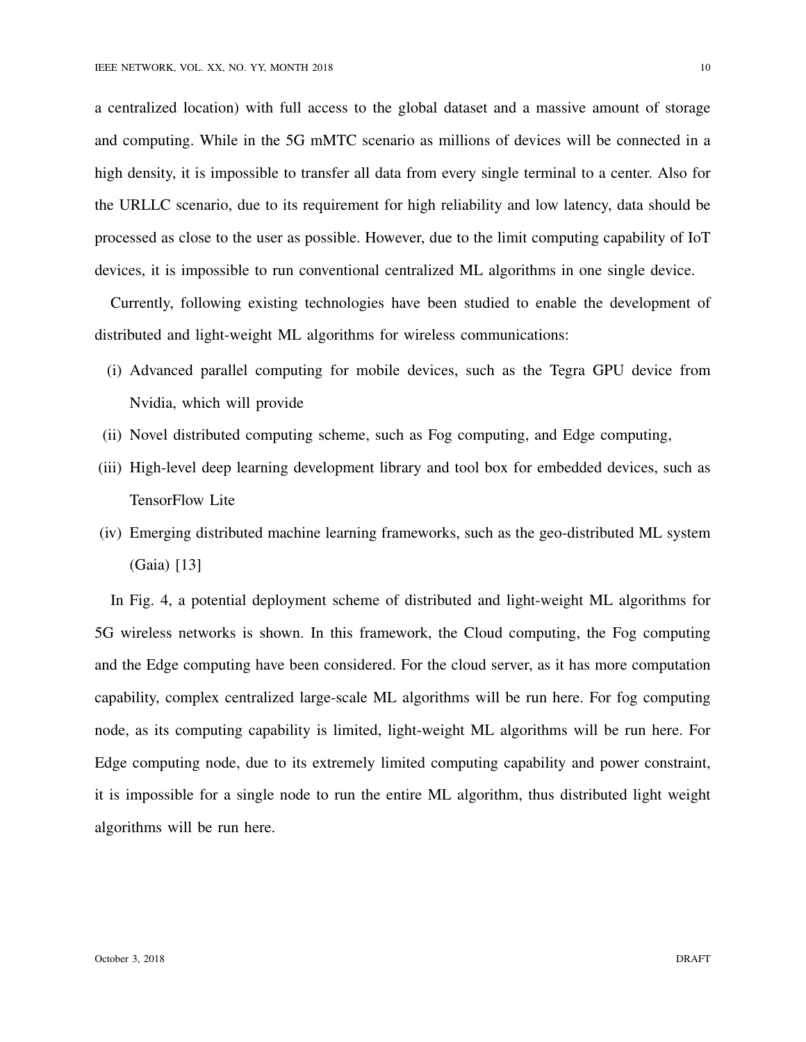a centralized location) with full access to the global dataset and a massive amount of storage and computing. While in the 5G mMTC scenario as millions of devices will be connected in a high density, it is impossible to transfer all data from every single terminal to a center. Also for the URLLC scenario, due to its requirement for high reliability and low latency, data should be

processed as close to the user as possible. However, due to the limit computing capability of IoT devices, it is impossible to run conventional centralized ML algorithms in one single device.

Currently, following existing technologies have been studied to enable the development of distributed and light-weight ML algorithms for wireless communications:

- (i) Advanced parallel computing for mobile devices, such as the Tegra GPU device from Nvidia, which will provide
- (ii) Novel distributed computing scheme, such as Fog computing, and Edge computing,
- (iii) High-level deep learning development library and tool box for embedded devices, such as TensorFlow Lite
- (iv) Emerging distributed machine learning frameworks, such as the geo-distributed ML system (Gaia) [13]

In Fig. 4, a potential deployment scheme of distributed and light-weight ML algorithms for 5G wireless networks is shown. In this framework, the Cloud computing, the Fog computing and the Edge computing have been considered. For the cloud server, as it has more computation capability, complex centralized large-scale ML algorithms will be run here. For fog computing node, as its computing capability is limited, light-weight ML algorithms will be run here. For Edge computing node, due to its extremely limited computing capability and power constraint, it is impossible for a single node to run the entire ML algorithm, thus distributed light weight algorithms will be run here.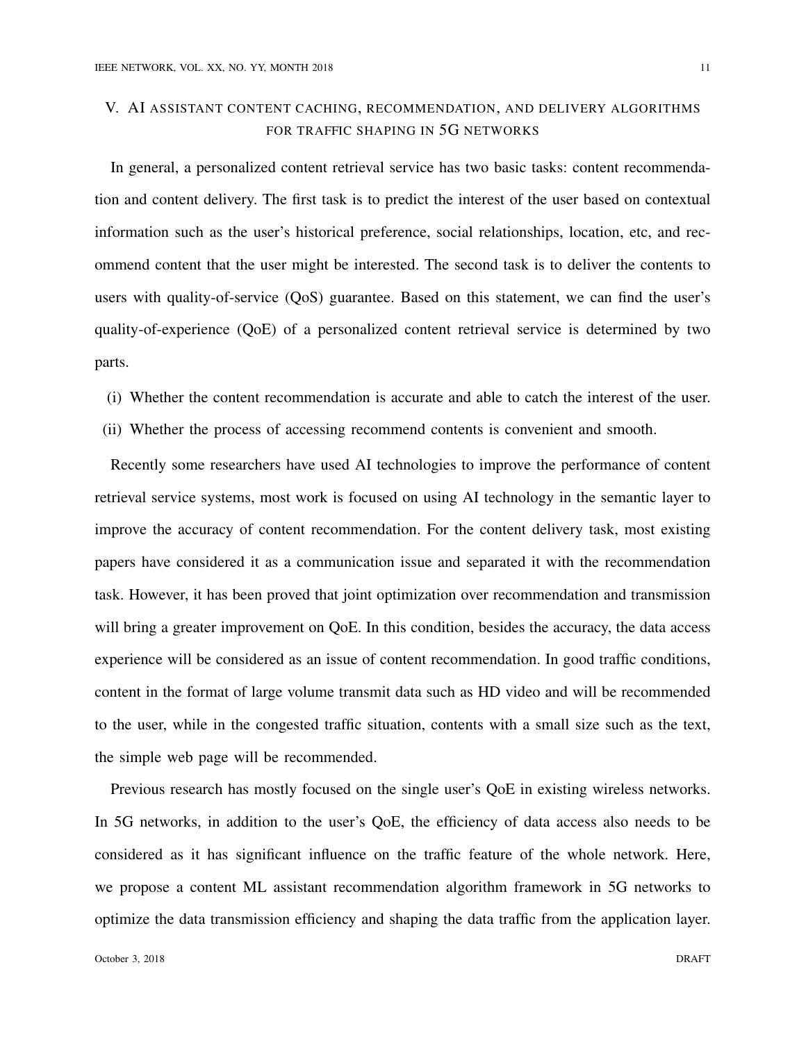# V. AI ASSISTANT CONTENT CACHING, RECOMMENDATION, AND DELIVERY ALGORITHMS FOR TRAFFIC SHAPING IN 5G NETWORKS

In general, a personalized content retrieval service has two basic tasks: content recommendation and content delivery. The first task is to predict the interest of the user based on contextual information such as the user's historical preference, social relationships, location, etc, and recommend content that the user might be interested. The second task is to deliver the contents to users with quality-of-service (QoS) guarantee. Based on this statement, we can find the user's quality-of-experience (QoE) of a personalized content retrieval service is determined by two parts.

- (i) Whether the content recommendation is accurate and able to catch the interest of the user.
- (ii) Whether the process of accessing recommend contents is convenient and smooth.

Recently some researchers have used AI technologies to improve the performance of content retrieval service systems, most work is focused on using AI technology in the semantic layer to improve the accuracy of content recommendation. For the content delivery task, most existing papers have considered it as a communication issue and separated it with the recommendation task. However, it has been proved that joint optimization over recommendation and transmission will bring a greater improvement on QoE. In this condition, besides the accuracy, the data access experience will be considered as an issue of content recommendation. In good traffic conditions, content in the format of large volume transmit data such as HD video and will be recommended to the user, while in the congested traffic situation, contents with a small size such as the text, the simple web page will be recommended.

Previous research has mostly focused on the single user's QoE in existing wireless networks. In 5G networks, in addition to the user's QoE, the efficiency of data access also needs to be considered as it has significant influence on the traffic feature of the whole network. Here, we propose a content ML assistant recommendation algorithm framework in 5G networks to optimize the data transmission efficiency and shaping the data traffic from the application layer.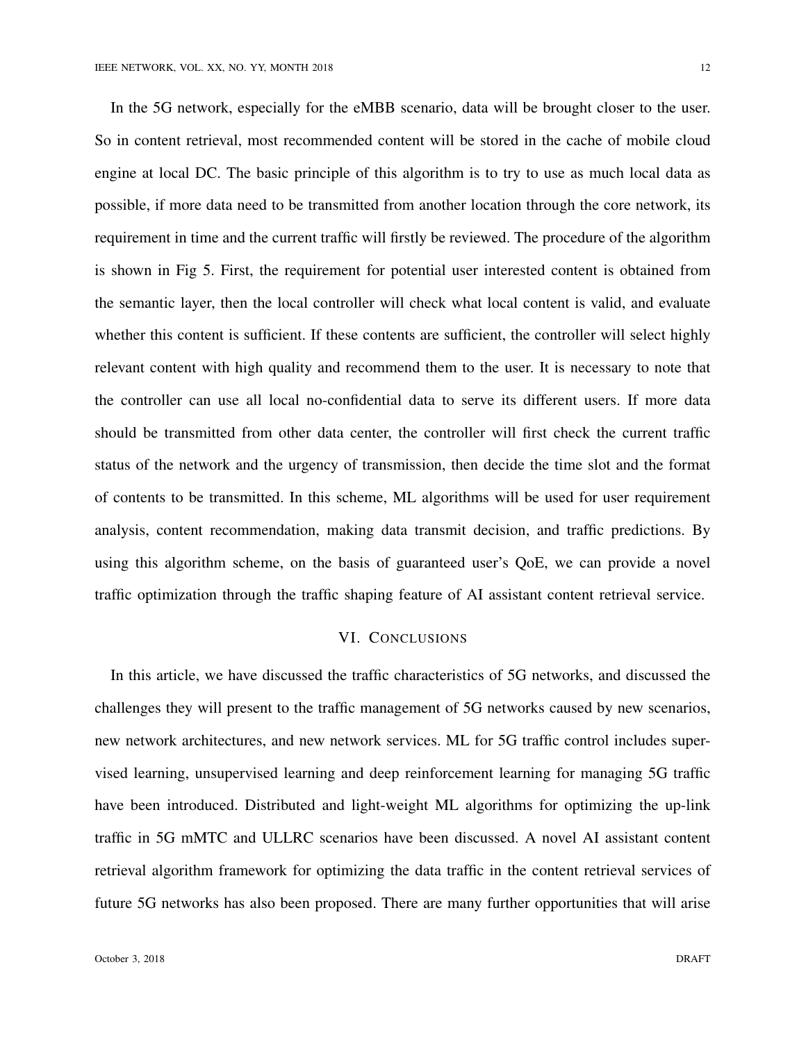In the 5G network, especially for the eMBB scenario, data will be brought closer to the user. So in content retrieval, most recommended content will be stored in the cache of mobile cloud engine at local DC. The basic principle of this algorithm is to try to use as much local data as possible, if more data need to be transmitted from another location through the core network, its requirement in time and the current traffic will firstly be reviewed. The procedure of the algorithm is shown in Fig 5. First, the requirement for potential user interested content is obtained from the semantic layer, then the local controller will check what local content is valid, and evaluate whether this content is sufficient. If these contents are sufficient, the controller will select highly relevant content with high quality and recommend them to the user. It is necessary to note that the controller can use all local no-confidential data to serve its different users. If more data should be transmitted from other data center, the controller will first check the current traffic status of the network and the urgency of transmission, then decide the time slot and the format of contents to be transmitted. In this scheme, ML algorithms will be used for user requirement analysis, content recommendation, making data transmit decision, and traffic predictions. By using this algorithm scheme, on the basis of guaranteed user's QoE, we can provide a novel traffic optimization through the traffic shaping feature of AI assistant content retrieval service.

## VI. CONCLUSIONS

In this article, we have discussed the traffic characteristics of 5G networks, and discussed the challenges they will present to the traffic management of 5G networks caused by new scenarios, new network architectures, and new network services. ML for 5G traffic control includes supervised learning, unsupervised learning and deep reinforcement learning for managing 5G traffic have been introduced. Distributed and light-weight ML algorithms for optimizing the up-link traffic in 5G mMTC and ULLRC scenarios have been discussed. A novel AI assistant content retrieval algorithm framework for optimizing the data traffic in the content retrieval services of future 5G networks has also been proposed. There are many further opportunities that will arise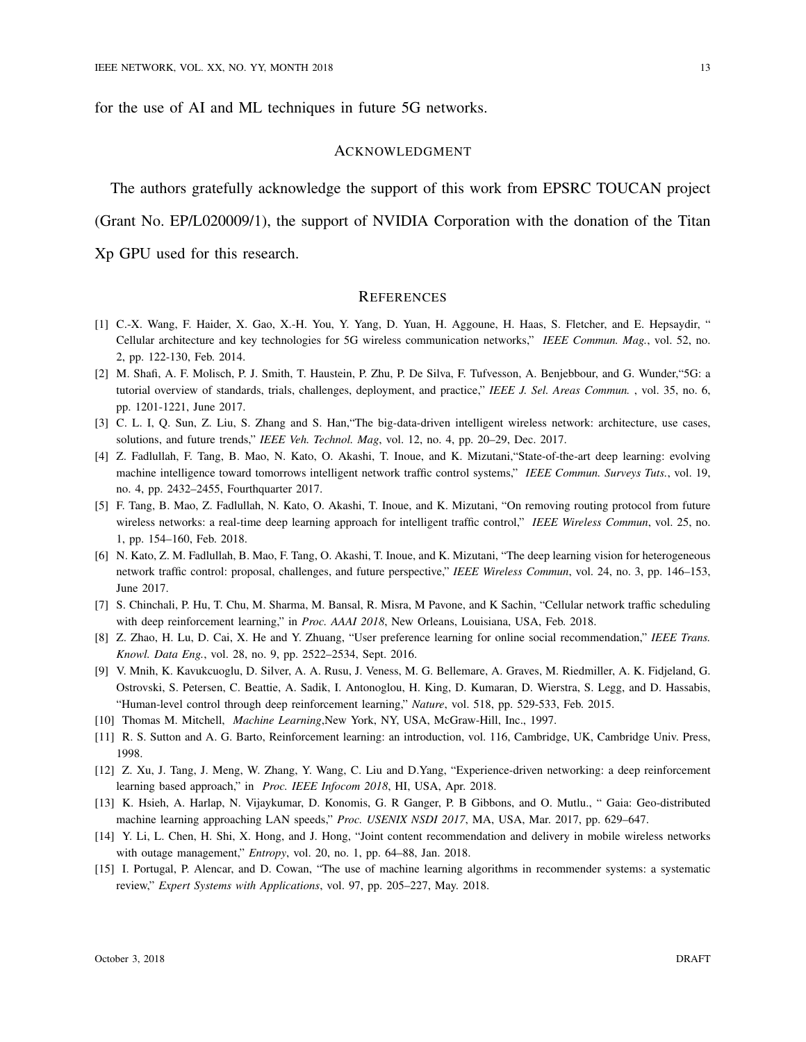for the use of AI and ML techniques in future 5G networks.

#### ACKNOWLEDGMENT

The authors gratefully acknowledge the support of this work from EPSRC TOUCAN project (Grant No. EP/L020009/1), the support of NVIDIA Corporation with the donation of the Titan Xp GPU used for this research.

#### **REFERENCES**

- [1] C.-X. Wang, F. Haider, X. Gao, X.-H. You, Y. Yang, D. Yuan, H. Aggoune, H. Haas, S. Fletcher, and E. Hepsaydir, " Cellular architecture and key technologies for 5G wireless communication networks," *IEEE Commun. Mag.*, vol. 52, no. 2, pp. 122-130, Feb. 2014.
- [2] M. Shafi, A. F. Molisch, P. J. Smith, T. Haustein, P. Zhu, P. De Silva, F. Tufvesson, A. Benjebbour, and G. Wunder,"5G: a tutorial overview of standards, trials, challenges, deployment, and practice," *IEEE J. Sel. Areas Commun.* , vol. 35, no. 6, pp. 1201-1221, June 2017.
- [3] C. L. I, Q. Sun, Z. Liu, S. Zhang and S. Han, "The big-data-driven intelligent wireless network: architecture, use cases, solutions, and future trends," *IEEE Veh. Technol. Mag*, vol. 12, no. 4, pp. 20–29, Dec. 2017.
- [4] Z. Fadlullah, F. Tang, B. Mao, N. Kato, O. Akashi, T. Inoue, and K. Mizutani,"State-of-the-art deep learning: evolving machine intelligence toward tomorrows intelligent network traffic control systems," *IEEE Commun. Surveys Tuts.*, vol. 19, no. 4, pp. 2432–2455, Fourthquarter 2017.
- [5] F. Tang, B. Mao, Z. Fadlullah, N. Kato, O. Akashi, T. Inoue, and K. Mizutani, "On removing routing protocol from future wireless networks: a real-time deep learning approach for intelligent traffic control," *IEEE Wireless Commun*, vol. 25, no. 1, pp. 154–160, Feb. 2018.
- [6] N. Kato, Z. M. Fadlullah, B. Mao, F. Tang, O. Akashi, T. Inoue, and K. Mizutani, "The deep learning vision for heterogeneous network traffic control: proposal, challenges, and future perspective," *IEEE Wireless Commun*, vol. 24, no. 3, pp. 146–153, June 2017.
- [7] S. Chinchali, P. Hu, T. Chu, M. Sharma, M. Bansal, R. Misra, M Pavone, and K Sachin, "Cellular network traffic scheduling with deep reinforcement learning," in *Proc. AAAI 2018*, New Orleans, Louisiana, USA, Feb. 2018.
- [8] Z. Zhao, H. Lu, D. Cai, X. He and Y. Zhuang, "User preference learning for online social recommendation," *IEEE Trans. Knowl. Data Eng.*, vol. 28, no. 9, pp. 2522–2534, Sept. 2016.
- [9] V. Mnih, K. Kavukcuoglu, D. Silver, A. A. Rusu, J. Veness, M. G. Bellemare, A. Graves, M. Riedmiller, A. K. Fidjeland, G. Ostrovski, S. Petersen, C. Beattie, A. Sadik, I. Antonoglou, H. King, D. Kumaran, D. Wierstra, S. Legg, and D. Hassabis, "Human-level control through deep reinforcement learning," *Nature*, vol. 518, pp. 529-533, Feb. 2015.
- [10] Thomas M. Mitchell, *Machine Learning*,New York, NY, USA, McGraw-Hill, Inc., 1997.
- [11] R. S. Sutton and A. G. Barto, Reinforcement learning: an introduction, vol. 116, Cambridge, UK, Cambridge Univ. Press, 1998.
- [12] Z. Xu, J. Tang, J. Meng, W. Zhang, Y. Wang, C. Liu and D.Yang, "Experience-driven networking: a deep reinforcement learning based approach," in *Proc. IEEE Infocom 2018*, HI, USA, Apr. 2018.
- [13] K. Hsieh, A. Harlap, N. Vijaykumar, D. Konomis, G. R Ganger, P. B Gibbons, and O. Mutlu., " Gaia: Geo-distributed machine learning approaching LAN speeds," *Proc. USENIX NSDI 2017*, MA, USA, Mar. 2017, pp. 629–647.
- [14] Y. Li, L. Chen, H. Shi, X. Hong, and J. Hong, "Joint content recommendation and delivery in mobile wireless networks with outage management," *Entropy*, vol. 20, no. 1, pp. 64–88, Jan. 2018.
- [15] I. Portugal, P. Alencar, and D. Cowan, "The use of machine learning algorithms in recommender systems: a systematic review," *Expert Systems with Applications*, vol. 97, pp. 205–227, May. 2018.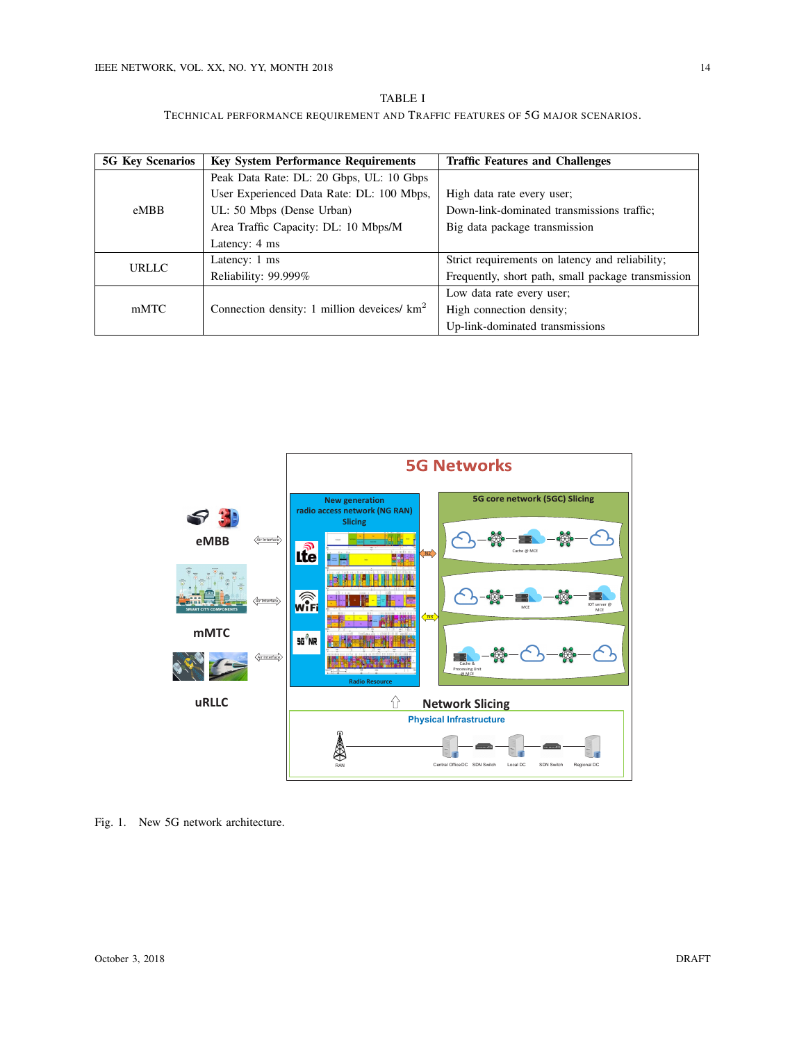| <b>TABLE I</b>                                                                |
|-------------------------------------------------------------------------------|
| TECHNICAL PERFORMANCE REQUIREMENT AND TRAFFIC FEATURES OF 5G MAJOR SCENARIOS. |

| <b>5G Key Scenarios</b> | <b>Key System Performance Requirements</b>     | <b>Traffic Features and Challenges</b>             |
|-------------------------|------------------------------------------------|----------------------------------------------------|
| eMBB                    | Peak Data Rate: DL: 20 Gbps, UL: 10 Gbps       |                                                    |
|                         | User Experienced Data Rate: DL: 100 Mbps,      | High data rate every user;                         |
|                         | UL: 50 Mbps (Dense Urban)                      | Down-link-dominated transmissions traffic;         |
|                         | Area Traffic Capacity: DL: 10 Mbps/M           | Big data package transmission                      |
|                         | Latency: 4 ms                                  |                                                    |
| <b>URLLC</b>            | Latency: 1 ms                                  | Strict requirements on latency and reliability;    |
|                         | Reliability: 99.999%                           | Frequently, short path, small package transmission |
| mMTC                    |                                                | Low data rate every user;                          |
|                         | Connection density: 1 million develces/ $km^2$ | High connection density:                           |
|                         |                                                | Up-link-dominated transmissions                    |



Fig. 1. New 5G network architecture.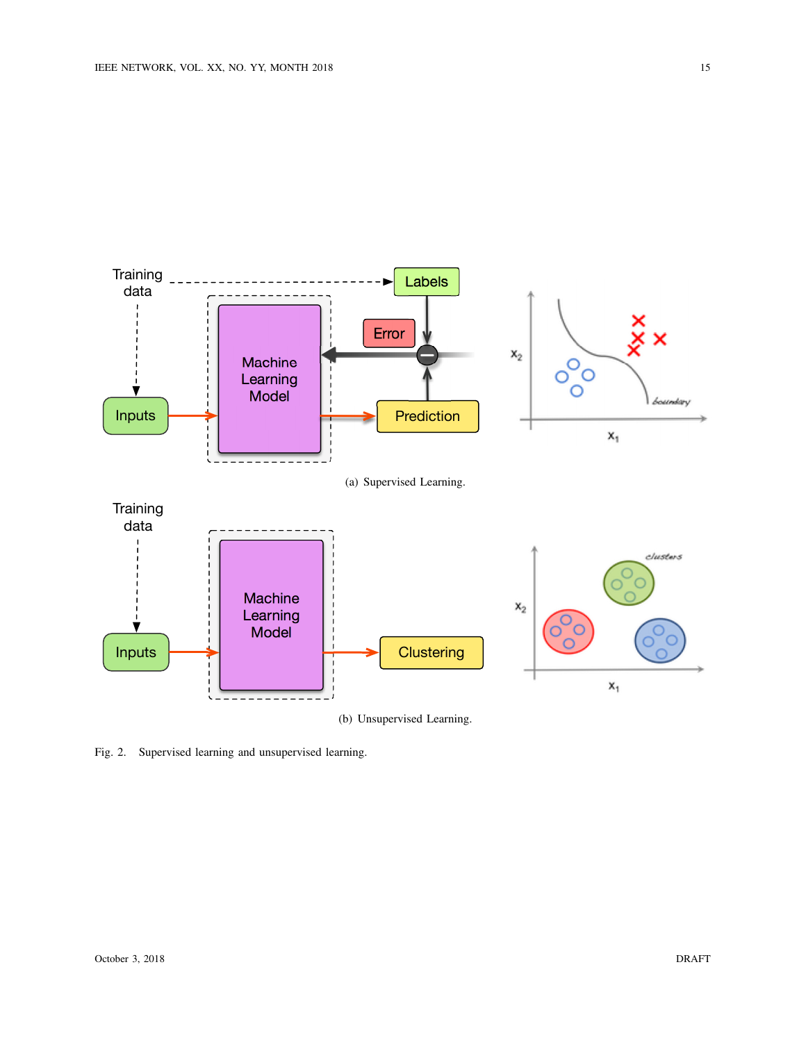

(b) Unsupervised Learning.

Fig. 2. Supervised learning and unsupervised learning.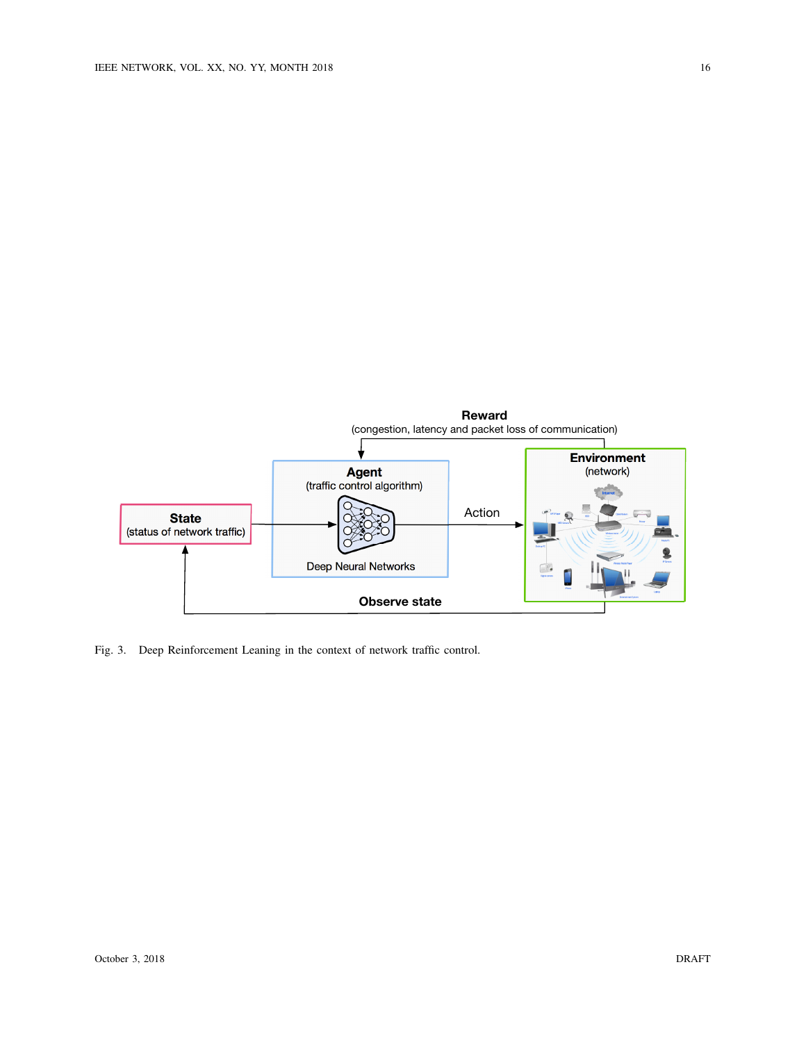

Fig. 3. Deep Reinforcement Leaning in the context of network traffic control.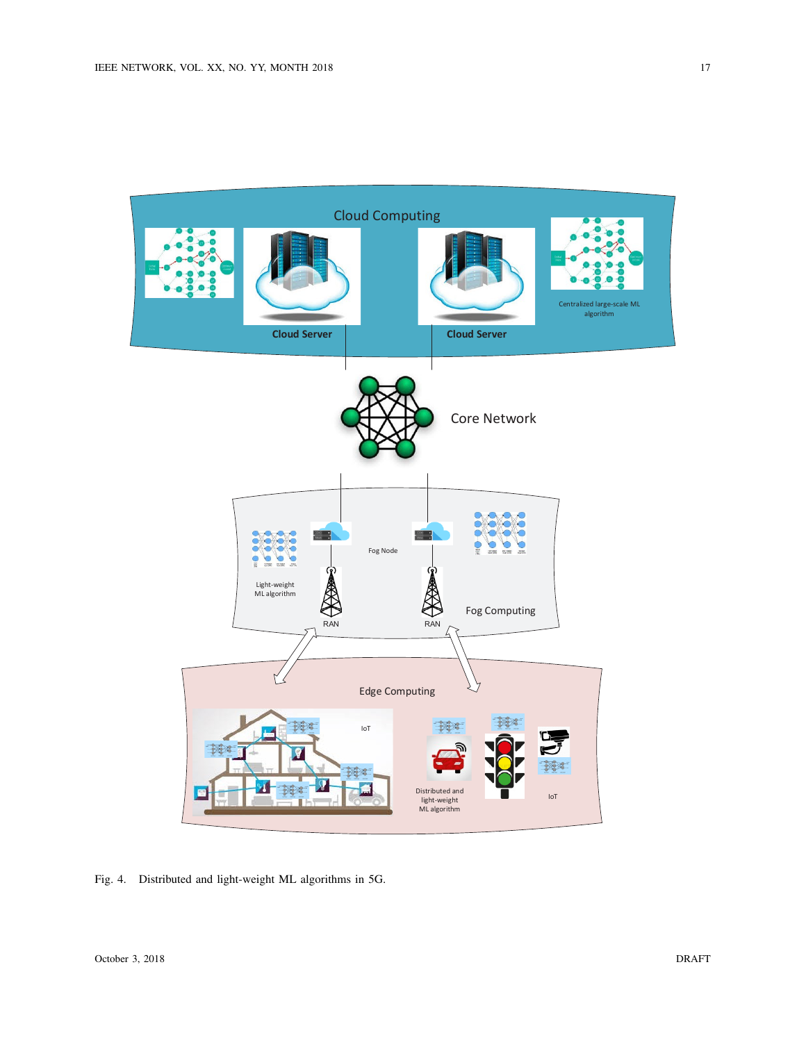

Fig. 4. Distributed and light-weight ML algorithms in 5G.